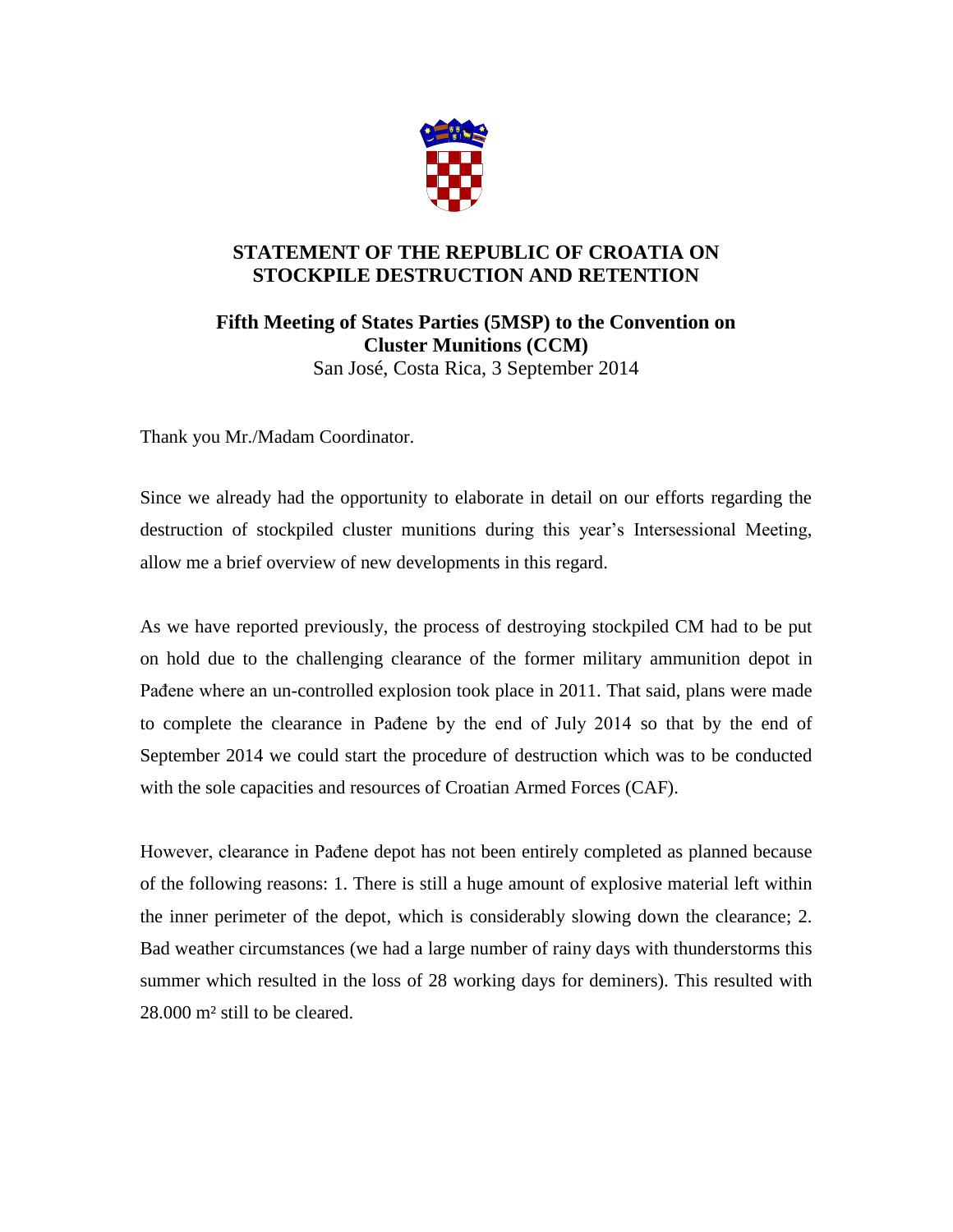

## **STATEMENT OF THE REPUBLIC OF CROATIA ON STOCKPILE DESTRUCTION AND RETENTION**

**Fifth Meeting of States Parties (5MSP) to the Convention on Cluster Munitions (CCM)**  San José, Costa Rica, 3 September 2014

Thank you Mr./Madam Coordinator.

Since we already had the opportunity to elaborate in detail on our efforts regarding the destruction of stockpiled cluster munitions during this year's Intersessional Meeting, allow me a brief overview of new developments in this regard.

As we have reported previously, the process of destroying stockpiled CM had to be put on hold due to the challenging clearance of the former military ammunition depot in Pađene where an un-controlled explosion took place in 2011. That said, plans were made to complete the clearance in Pađene by the end of July 2014 so that by the end of September 2014 we could start the procedure of destruction which was to be conducted with the sole capacities and resources of Croatian Armed Forces (CAF).

However, clearance in Pađene depot has not been entirely completed as planned because of the following reasons: 1. There is still a huge amount of explosive material left within the inner perimeter of the depot, which is considerably slowing down the clearance; 2. Bad weather circumstances (we had a large number of rainy days with thunderstorms this summer which resulted in the loss of 28 working days for deminers). This resulted with 28.000 m² still to be cleared.